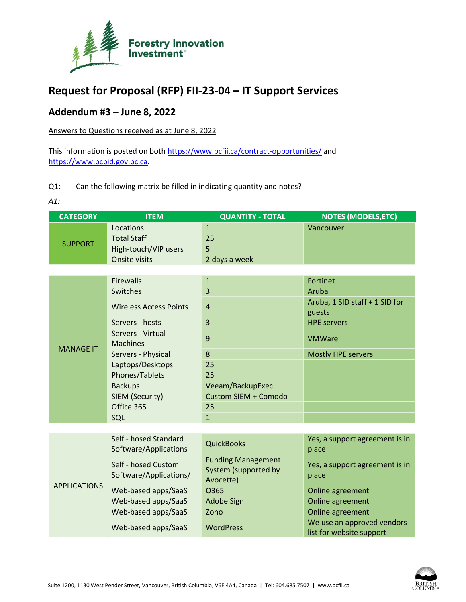

## **Request for Proposal (RFP) FII-23-04 – IT Support Services**

## **Addendum #3 – June 8, 2022**

Answers to Questions received as at June 8, 2022

This information is posted on both<https://www.bcfii.ca/contract-opportunities/> and [https://www.bcbid.gov.bc.ca.](https://www.bcbid.gov.bc.ca/)

## Q1: Can the following matrix be filled in indicating quantity and notes?

*A1:* 

| <b>CATEGORY</b>     | <b>ITEM</b>                                    | <b>QUANTITY - TOTAL</b>     | <b>NOTES (MODELS, ETC)</b>                             |  |  |
|---------------------|------------------------------------------------|-----------------------------|--------------------------------------------------------|--|--|
| <b>SUPPORT</b>      | Locations                                      | $\mathbf{1}$                | Vancouver                                              |  |  |
|                     | <b>Total Staff</b>                             | 25                          |                                                        |  |  |
|                     | High-touch/VIP users                           | 5                           |                                                        |  |  |
|                     | Onsite visits                                  | 2 days a week               |                                                        |  |  |
|                     |                                                |                             |                                                        |  |  |
| <b>MANAGE IT</b>    | <b>Firewalls</b>                               | $\mathbf{1}$                | <b>Fortinet</b>                                        |  |  |
|                     | Switches                                       | 3                           | Aruba                                                  |  |  |
|                     | <b>Wireless Access Points</b>                  | 4                           | Aruba, 1 SID staff + 1 SID for<br>guests               |  |  |
|                     | Servers - hosts                                | 3                           | <b>HPE servers</b>                                     |  |  |
|                     | Servers - Virtual<br><b>Machines</b>           | 9                           | <b>VMWare</b>                                          |  |  |
|                     | Servers - Physical                             | 8                           | <b>Mostly HPE servers</b>                              |  |  |
|                     | Laptops/Desktops                               | 25                          |                                                        |  |  |
|                     | Phones/Tablets                                 | 25                          |                                                        |  |  |
|                     | <b>Backups</b>                                 | Veeam/BackupExec            |                                                        |  |  |
|                     | SIEM (Security)                                | <b>Custom SIEM + Comodo</b> |                                                        |  |  |
|                     | Office 365                                     | 25                          |                                                        |  |  |
|                     | SQL                                            | $\mathbf{1}$                |                                                        |  |  |
|                     |                                                |                             |                                                        |  |  |
| <b>APPLICATIONS</b> | Self - hosed Standard<br>Software/Applications | <b>QuickBooks</b>           | Yes, a support agreement is in<br>place                |  |  |
|                     |                                                | <b>Funding Management</b>   |                                                        |  |  |
|                     | Self - hosed Custom                            | System (supported by        | Yes, a support agreement is in                         |  |  |
|                     | Software/Applications/                         | Avocette)                   | place                                                  |  |  |
|                     | Web-based apps/SaaS                            | O365                        | Online agreement                                       |  |  |
|                     | Web-based apps/SaaS                            | Adobe Sign                  | Online agreement                                       |  |  |
|                     | Web-based apps/SaaS                            | Zoho                        | Online agreement                                       |  |  |
|                     | Web-based apps/SaaS                            | <b>WordPress</b>            | We use an approved vendors<br>list for website support |  |  |